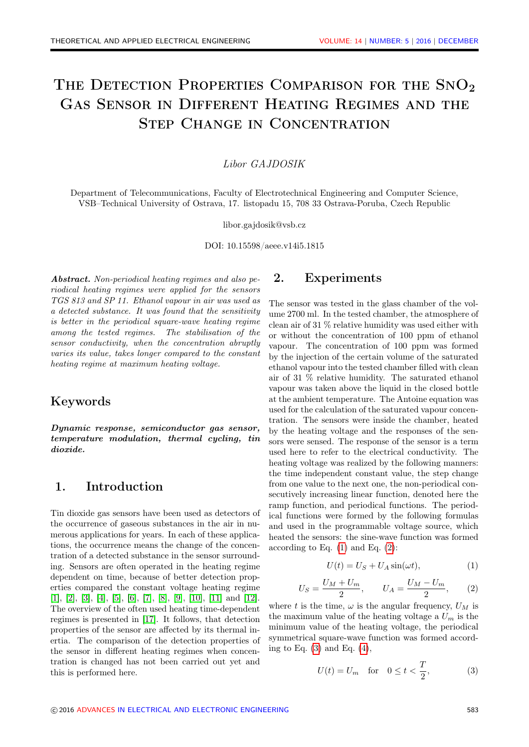# THE DETECTION PROPERTIES COMPARISON FOR THE SNO<sub>2</sub> Gas Sensor in Different Heating Regimes and the Step Change in Concentration

#### Libor GAJDOSIK

Department of Telecommunications, Faculty of Electrotechnical Engineering and Computer Science, VSB–Technical University of Ostrava, 17. listopadu 15, 708 33 Ostrava-Poruba, Czech Republic

libor.gajdosik@vsb.cz

DOI: 10.15598/aeee.v14i5.1815

Abstract. Non-periodical heating regimes and also periodical heating regimes were applied for the sensors TGS 813 and SP 11. Ethanol vapour in air was used as a detected substance. It was found that the sensitivity is better in the periodical square-wave heating regime among the tested regimes. The stabilisation of the sensor conductivity, when the concentration abruptly varies its value, takes longer compared to the constant heating regime at maximum heating voltage.

## Keywords

Dynamic response, semiconductor gas sensor, temperature modulation, thermal cycling, tin dioxide.

## 1. Introduction

Tin dioxide gas sensors have been used as detectors of the occurrence of gaseous substances in the air in numerous applications for years. In each of these applications, the occurrence means the change of the concentration of a detected substance in the sensor surrounding. Sensors are often operated in the heating regime dependent on time, because of better detection properties compared the constant voltage heating regime [\[1\]](#page-6-0), [\[2\]](#page-6-1), [\[3\]](#page-6-2), [\[4\]](#page-6-3), [\[5\]](#page-6-4), [\[6\]](#page-6-5), [\[7\]](#page-6-6), [\[8\]](#page-6-7), [\[9\]](#page-6-8), [\[10\]](#page-6-9), [\[11\]](#page-7-0) and [\[12\]](#page-7-1). The overview of the often used heating time-dependent regimes is presented in [\[17\]](#page-7-2). It follows, that detection properties of the sensor are affected by its thermal inertia. The comparison of the detection properties of the sensor in different heating regimes when concentration is changed has not been carried out yet and this is performed here.

## 2. Experiments

The sensor was tested in the glass chamber of the volume 2700 ml. In the tested chamber, the atmosphere of clean air of 31 % relative humidity was used either with or without the concentration of 100 ppm of ethanol vapour. The concentration of 100 ppm was formed by the injection of the certain volume of the saturated ethanol vapour into the tested chamber filled with clean air of 31 % relative humidity. The saturated ethanol vapour was taken above the liquid in the closed bottle at the ambient temperature. The Antoine equation was used for the calculation of the saturated vapour concentration. The sensors were inside the chamber, heated by the heating voltage and the responses of the sensors were sensed. The response of the sensor is a term used here to refer to the electrical conductivity. The heating voltage was realized by the following manners: the time independent constant value, the step change from one value to the next one, the non-periodical consecutively increasing linear function, denoted here the ramp function, and periodical functions. The periodical functions were formed by the following formulas and used in the programmable voltage source, which heated the sensors: the sine-wave function was formed according to Eq.  $(1)$  and Eq.  $(2)$ :

<span id="page-0-0"></span>
$$
U(t) = U_S + U_A \sin(\omega t),\tag{1}
$$

<span id="page-0-1"></span>
$$
U_S = \frac{U_M + U_m}{2}, \qquad U_A = \frac{U_M - U_m}{2}, \qquad (2)
$$

where t is the time,  $\omega$  is the angular frequency,  $U_M$  is the maximum value of the heating voltage a  $U_m$  is the minimum value of the heating voltage, the periodical symmetrical square-wave function was formed according to Eq.  $(3)$  and Eq.  $(4)$ ,

<span id="page-0-2"></span>
$$
U(t) = U_m \quad \text{for} \quad 0 \le t < \frac{T}{2},\tag{3}
$$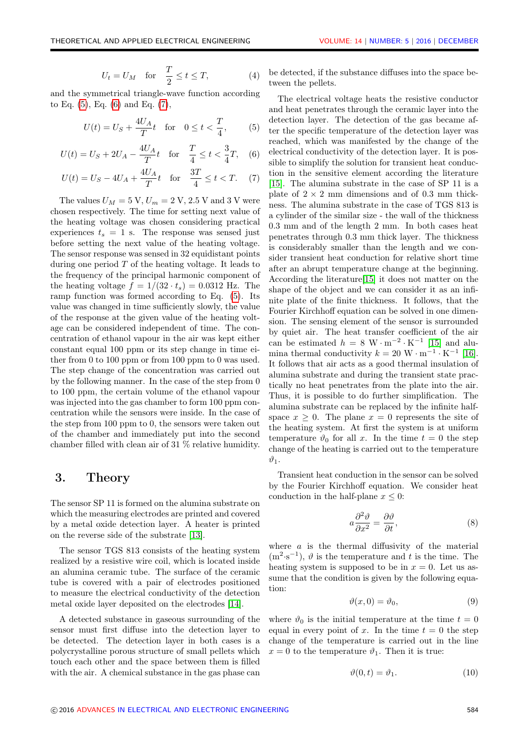<span id="page-1-0"></span>
$$
U_t = U_M \quad \text{for} \quad \frac{T}{2} \le t \le T,\tag{4}
$$

and the symmetrical triangle-wave function according to Eq. [\(5\)](#page-1-1), Eq. [\(6\)](#page-1-2) and Eq. [\(7\)](#page-1-3),

<span id="page-1-1"></span>
$$
U(t) = U_S + \frac{4U_A}{T}t
$$
 for  $0 \le t < \frac{T}{4}$ , (5)

<span id="page-1-2"></span>
$$
U(t) = U_S + 2U_A - \frac{4U_A}{T}t \quad \text{for} \quad \frac{T}{4} \le t < \frac{3}{4}T,\tag{6}
$$

<span id="page-1-3"></span>
$$
U(t) = U_S - 4U_A + \frac{4U_A}{T}t \quad \text{for} \quad \frac{3T}{4} \le t < T. \tag{7}
$$

The values  $U_M = 5$  V,  $U_m = 2$  V, 2.5 V and 3 V were chosen respectively. The time for setting next value of the heating voltage was chosen considering practical experiences  $t_s = 1$  s. The response was sensed just before setting the next value of the heating voltage. The sensor response was sensed in 32 equidistant points during one period  $T$  of the heating voltage. It leads to the frequency of the principal harmonic component of the heating voltage  $f = 1/(32 \cdot t_s) = 0.0312$  Hz. The ramp function was formed according to Eq. [\(5\)](#page-1-1). Its value was changed in time sufficiently slowly, the value of the response at the given value of the heating voltage can be considered independent of time. The concentration of ethanol vapour in the air was kept either constant equal 100 ppm or its step change in time either from 0 to 100 ppm or from 100 ppm to 0 was used. The step change of the concentration was carried out by the following manner. In the case of the step from 0 to 100 ppm, the certain volume of the ethanol vapour was injected into the gas chamber to form 100 ppm concentration while the sensors were inside. In the case of the step from 100 ppm to 0, the sensors were taken out of the chamber and immediately put into the second chamber filled with clean air of 31 % relative humidity.

## 3. Theory

The sensor SP 11 is formed on the alumina substrate on which the measuring electrodes are printed and covered by a metal oxide detection layer. A heater is printed on the reverse side of the substrate [\[13\]](#page-7-3).

The sensor TGS 813 consists of the heating system realized by a resistive wire coil, which is located inside an alumina ceramic tube. The surface of the ceramic tube is covered with a pair of electrodes positioned to measure the electrical conductivity of the detection metal oxide layer deposited on the electrodes [\[14\]](#page-7-4).

A detected substance in gaseous surrounding of the sensor must first diffuse into the detection layer to be detected. The detection layer in both cases is a polycrystalline porous structure of small pellets which touch each other and the space between them is filled with the air. A chemical substance in the gas phase can

be detected, if the substance diffuses into the space between the pellets.

The electrical voltage heats the resistive conductor and heat penetrates through the ceramic layer into the detection layer. The detection of the gas became after the specific temperature of the detection layer was reached, which was manifested by the change of the electrical conductivity of the detection layer. It is possible to simplify the solution for transient heat conduction in the sensitive element according the literature [\[15\]](#page-7-5). The alumina substrate in the case of SP 11 is a plate of  $2 \times 2$  mm dimensions and of 0.3 mm thickness. The alumina substrate in the case of TGS 813 is a cylinder of the similar size - the wall of the thickness 0.3 mm and of the length 2 mm. In both cases heat penetrates through 0.3 mm thick layer. The thickness is considerably smaller than the length and we consider transient heat conduction for relative short time after an abrupt temperature change at the beginning. According the literature[\[15\]](#page-7-5) it does not matter on the shape of the object and we can consider it as an infinite plate of the finite thickness. It follows, that the Fourier Kirchhoff equation can be solved in one dimension. The sensing element of the sensor is surrounded by quiet air. The heat transfer coefficient of the air can be estimated  $h = 8 \text{ W} \cdot \text{m}^{-2} \cdot \text{K}^{-1}$  [\[15\]](#page-7-5) and alumina thermal conductivity  $k = 20 \text{ W} \cdot \text{m}^{-1} \cdot \text{K}^{-1}$  [\[16\]](#page-7-6). It follows that air acts as a good thermal insulation of alumina substrate and during the transient state practically no heat penetrates from the plate into the air. Thus, it is possible to do further simplification. The alumina substrate can be replaced by the infinite halfspace  $x \geq 0$ . The plane  $x = 0$  represents the site of the heating system. At first the system is at uniform temperature  $\vartheta_0$  for all x. In the time  $t = 0$  the step change of the heating is carried out to the temperature  $\vartheta_1$ .

Transient heat conduction in the sensor can be solved by the Fourier Kirchhoff equation. We consider heat conduction in the half-plane  $x \leq 0$ :

<span id="page-1-4"></span>
$$
a\frac{\partial^2 \vartheta}{\partial x^2} = \frac{\partial \vartheta}{\partial t},\tag{8}
$$

where  $a$  is the thermal diffusivity of the material  $(m^2 \cdot s^{-1})$ ,  $\vartheta$  is the temperature and t is the time. The heating system is supposed to be in  $x = 0$ . Let us assume that the condition is given by the following equation:

$$
\vartheta(x,0) = \vartheta_0,\tag{9}
$$

where  $\vartheta_0$  is the initial temperature at the time  $t = 0$ equal in every point of x. In the time  $t = 0$  the step change of the temperature is carried out in the line  $x = 0$  to the temperature  $\vartheta_1$ . Then it is true:

<span id="page-1-5"></span>
$$
\vartheta(0,t) = \vartheta_1. \tag{10}
$$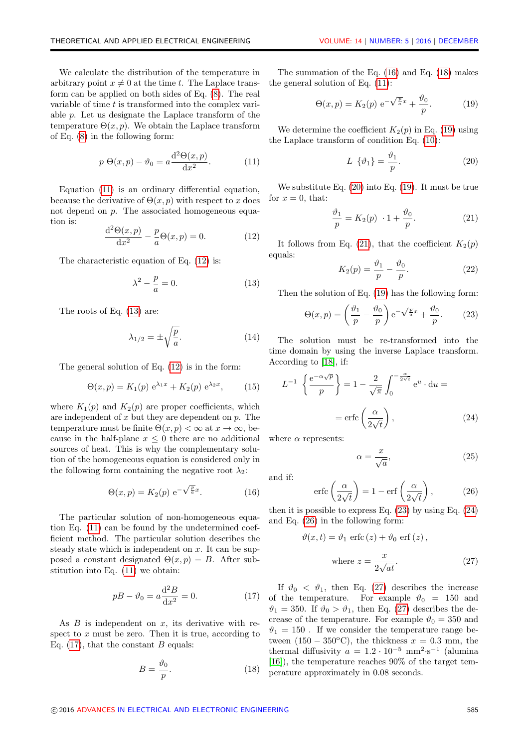We calculate the distribution of the temperature in arbitrary point  $x \neq 0$  at the time t. The Laplace transform can be applied on both sides of Eq. [\(8\)](#page-1-4). The real variable of time t is transformed into the complex variable p. Let us designate the Laplace transform of the temperature  $\Theta(x, p)$ . We obtain the Laplace transform of Eq. [\(8\)](#page-1-4) in the following form:

<span id="page-2-0"></span>
$$
p \Theta(x, p) - \vartheta_0 = a \frac{\mathrm{d}^2 \Theta(x, p)}{\mathrm{d} x^2}.
$$
 (11)

Equation [\(11\)](#page-2-0) is an ordinary differential equation, because the derivative of  $\Theta(x, p)$  with respect to x does not depend on p. The associated homogeneous equation is:

<span id="page-2-1"></span>
$$
\frac{\mathrm{d}^2 \Theta(x, p)}{\mathrm{d}x^2} - \frac{p}{a} \Theta(x, p) = 0.
$$
 (12)

The characteristic equation of Eq. [\(12\)](#page-2-1) is:

<span id="page-2-2"></span>
$$
\lambda^2 - \frac{p}{a} = 0.\tag{13}
$$

The roots of Eq. [\(13\)](#page-2-2) are:

$$
\lambda_{1/2} = \pm \sqrt{\frac{p}{a}}.\tag{14}
$$

The general solution of Eq. [\(12\)](#page-2-1) is in the form:

$$
\Theta(x, p) = K_1(p) e^{\lambda_1 x} + K_2(p) e^{\lambda_2 x}, \quad (15)
$$

where  $K_1(p)$  and  $K_2(p)$  are proper coefficients, which are independent of  $x$  but they are dependent on  $p$ . The temperature must be finite  $\Theta(x, p) < \infty$  at  $x \to \infty$ , because in the half-plane  $x \leq 0$  there are no additional sources of heat. This is why the complementary solution of the homogeneous equation is considered only in the following form containing the negative root  $\lambda_2$ :

<span id="page-2-4"></span>
$$
\Theta(x, p) = K_2(p) e^{-\sqrt{\frac{p}{a}}x}.
$$
 (16)

The particular solution of non-homogeneous equation Eq. [\(11\)](#page-2-0) can be found by the undetermined coefficient method. The particular solution describes the steady state which is independent on  $x$ . It can be supposed a constant designated  $\Theta(x, p) = B$ . After substitution into Eq. [\(11\)](#page-2-0) we obtain:

<span id="page-2-3"></span>
$$
p = \vartheta_0 = a \frac{\mathrm{d}^2 B}{\mathrm{d} x^2} = 0. \tag{17}
$$

As  $B$  is independent on  $x$ , its derivative with respect to  $x$  must be zero. Then it is true, according to Eq.  $(17)$ , that the constant B equals:

<span id="page-2-5"></span>
$$
B = \frac{\vartheta_0}{p}.\tag{18}
$$

The summation of the Eq. [\(16\)](#page-2-4) and Eq. [\(18\)](#page-2-5) makes the general solution of Eq. [\(11\)](#page-2-0):

<span id="page-2-6"></span>
$$
\Theta(x,p) = K_2(p) e^{-\sqrt{\frac{p}{a}}x} + \frac{\vartheta_0}{p}.
$$
 (19)

We determine the coefficient  $K_2(p)$  in Eq. [\(19\)](#page-2-6) using the Laplace transform of condition Eq. [\(10\)](#page-1-5):

<span id="page-2-7"></span>
$$
L \{\vartheta_1\} = \frac{\vartheta_1}{p}.\tag{20}
$$

We substitute Eq. [\(20\)](#page-2-7) into Eq. [\(19\)](#page-2-6). It must be true for  $x = 0$ , that:

<span id="page-2-8"></span>
$$
\frac{\vartheta_1}{p} = K_2(p) \cdot 1 + \frac{\vartheta_0}{p}.\tag{21}
$$

It follows from Eq. [\(21\)](#page-2-8), that the coefficient  $K_2(p)$ equals:

$$
K_2(p) = \frac{\vartheta_1}{p} - \frac{\vartheta_0}{p}.\tag{22}
$$

Then the solution of Eq. [\(19\)](#page-2-6) has the following form:

<span id="page-2-9"></span>
$$
\Theta(x,p) = \left(\frac{\vartheta_1}{p} - \frac{\vartheta_0}{p}\right) e^{-\sqrt{\frac{p}{a}}x} + \frac{\vartheta_0}{p}.
$$
 (23)

The solution must be re-transformed into the time domain by using the inverse Laplace transform. According to [\[18\]](#page-7-7), if:

<span id="page-2-10"></span>
$$
L^{-1} \left\{ \frac{e^{-\alpha \sqrt{p}}}{p} \right\} = 1 - \frac{2}{\sqrt{\pi}} \int_0^{-\frac{\alpha}{2\sqrt{t}}} e^u \cdot du =
$$

$$
= \operatorname{erfc}\left(\frac{\alpha}{2\sqrt{t}}\right), \tag{24}
$$

where  $\alpha$  represents:

$$
\alpha = \frac{x}{\sqrt{a}},\tag{25}
$$

and if:

<span id="page-2-11"></span>
$$
\operatorname{erfc}\left(\frac{\alpha}{2\sqrt{t}}\right) = 1 - \operatorname{erf}\left(\frac{\alpha}{2\sqrt{t}}\right),\tag{26}
$$

then it is possible to express Eq.  $(23)$  by using Eq.  $(24)$ and Eq. [\(26\)](#page-2-11) in the following form:

<span id="page-2-12"></span>
$$
\vartheta(x,t) = \vartheta_1 \text{ erfc}(z) + \vartheta_0 \text{ erf}(z),
$$
  
where  $z = \frac{x}{2\sqrt{at}}$ . (27)

If  $\vartheta_0 < \vartheta_1$ , then Eq. [\(27\)](#page-2-12) describes the increase of the temperature. For example  $\vartheta_0 = 150$  and  $\vartheta_1 = 350$ . If  $\vartheta_0 > \vartheta_1$ , then Eq. [\(27\)](#page-2-12) describes the decrease of the temperature. For example  $\vartheta_0 = 350$  and  $\vartheta_1 = 150$ . If we consider the temperature range between  $(150 - 350$ <sup>o</sup>C), the thickness  $x = 0.3$  mm, the thermal diffusivity  $a = 1.2 \cdot 10^{-5}$  mm<sup>2</sup>·s<sup>-1</sup> (alumina [\[16\]](#page-7-6)), the temperature reaches 90% of the target temperature approximately in 0.08 seconds.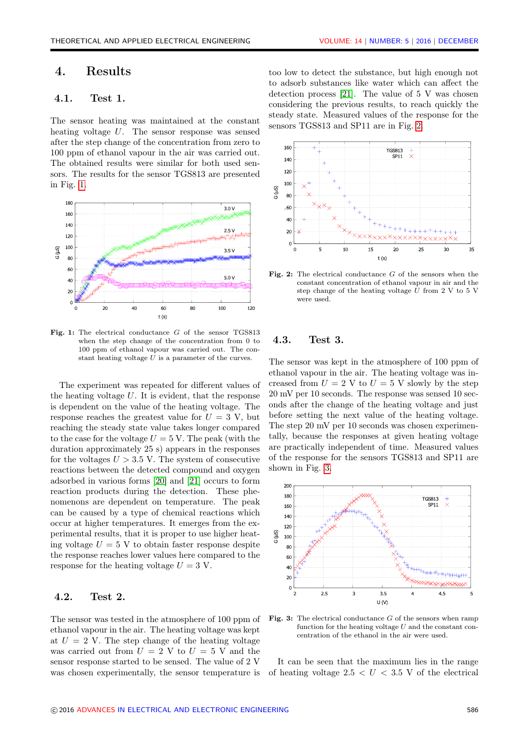## 4. Results

## 4.1. Test 1.

The sensor heating was maintained at the constant heating voltage U. The sensor response was sensed after the step change of the concentration from zero to 100 ppm of ethanol vapour in the air was carried out. The obtained results were similar for both used sensors. The results for the sensor TGS813 are presented in Fig. [1.](#page-3-0)

<span id="page-3-0"></span>

Fig. 1: The electrical conductance G of the sensor TGS813 when the step change of the concentration from 0 to 100 ppm of ethanol vapour was carried out. The constant heating voltage  $U$  is a parameter of the curves.

The experiment was repeated for different values of the heating voltage  $U$ . It is evident, that the response is dependent on the value of the heating voltage. The response reaches the greatest value for  $U = 3$  V, but reaching the steady state value takes longer compared to the case for the voltage  $U = 5$  V. The peak (with the duration approximately 25 s) appears in the responses for the voltages  $U > 3.5$  V. The system of consecutive reactions between the detected compound and oxygen adsorbed in various forms [\[20\]](#page-7-8) and [\[21\]](#page-7-9) occurs to form reaction products during the detection. These phenomenons are dependent on temperature. The peak can be caused by a type of chemical reactions which occur at higher temperatures. It emerges from the experimental results, that it is proper to use higher heating voltage  $U = 5$  V to obtain faster response despite the response reaches lower values here compared to the response for the heating voltage  $U = 3$  V.

### 4.2. Test 2.

The sensor was tested in the atmosphere of 100 ppm of ethanol vapour in the air. The heating voltage was kept at  $U = 2$  V. The step change of the heating voltage was carried out from  $U = 2$  V to  $U = 5$  V and the sensor response started to be sensed. The value of 2 V was chosen experimentally, the sensor temperature is too low to detect the substance, but high enough not to adsorb substances like water which can affect the detection process [\[21\]](#page-7-9). The value of 5 V was chosen considering the previous results, to reach quickly the steady state. Measured values of the response for the sensors TGS813 and SP11 are in Fig. [2.](#page-3-1)

<span id="page-3-1"></span>

Fig. 2: The electrical conductance  $G$  of the sensors when the constant concentration of ethanol vapour in air and the step change of the heating voltage  $\bar{U}$  from 2 V to 5 V were used.

### 4.3. Test 3.

The sensor was kept in the atmosphere of 100 ppm of ethanol vapour in the air. The heating voltage was increased from  $U = 2$  V to  $U = 5$  V slowly by the step 20 mV per 10 seconds. The response was sensed 10 seconds after the change of the heating voltage and just before setting the next value of the heating voltage. The step 20 mV per 10 seconds was chosen experimentally, because the responses at given heating voltage are practically independent of time. Measured values of the response for the sensors TGS813 and SP11 are shown in Fig. [3.](#page-3-2)

<span id="page-3-2"></span>

Fig. 3: The electrical conductance  $G$  of the sensors when ramp function for the heating voltage  $U$  and the constant concentration of the ethanol in the air were used.

It can be seen that the maximum lies in the range of heating voltage  $2.5 < U < 3.5$  V of the electrical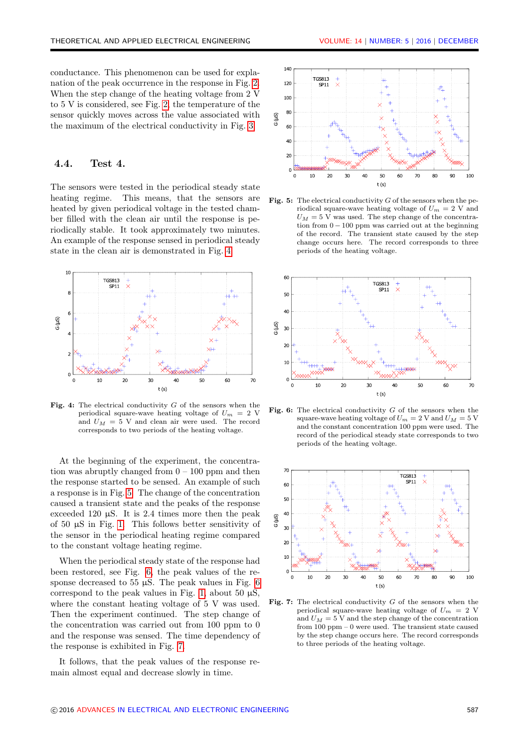conductance. This phenomenon can be used for explanation of the peak occurrence in the response in Fig. [2.](#page-3-1) When the step change of the heating voltage from 2 V to 5 V is considered, see Fig. [2,](#page-3-1) the temperature of the sensor quickly moves across the value associated with the maximum of the electrical conductivity in Fig. [3.](#page-3-2)

#### 4.4. Test 4.

The sensors were tested in the periodical steady state heating regime. This means, that the sensors are heated by given periodical voltage in the tested chamber filled with the clean air until the response is periodically stable. It took approximately two minutes. An example of the response sensed in periodical steady state in the clean air is demonstrated in Fig. [4.](#page-4-0)

<span id="page-4-0"></span>

Fig. 4: The electrical conductivity  $G$  of the sensors when the periodical square-wave heating voltage of  $U_m = 2$  V and  $U_M = 5$  V and clean air were used. The record corresponds to two periods of the heating voltage.

At the beginning of the experiment, the concentration was abruptly changed from  $0 - 100$  ppm and then the response started to be sensed. An example of such a response is in Fig. [5.](#page-4-1) The change of the concentration caused a transient state and the peaks of the response exceeded 120  $\mu$ S. It is 2.4 times more then the peak of 50 µS in Fig. [1.](#page-3-0) This follows better sensitivity of the sensor in the periodical heating regime compared to the constant voltage heating regime.

When the periodical steady state of the response had been restored, see Fig. [6,](#page-4-2) the peak values of the response decreased to 55  $\mu$ S. The peak values in Fig. [6](#page-4-2) correspond to the peak values in Fig. [1,](#page-3-0) about 50  $\mu$ S, where the constant heating voltage of 5 V was used. Then the experiment continued. The step change of the concentration was carried out from 100 ppm to 0 and the response was sensed. The time dependency of the response is exhibited in Fig. [7.](#page-4-3)

It follows, that the peak values of the response remain almost equal and decrease slowly in time.

<span id="page-4-1"></span>

Fig. 5: The electrical conductivity  $G$  of the sensors when the periodical square-wave heating voltage of  $U_m = 2$  V and  $U_M = 5$  V was used. The step change of the concentration from  $0 - 100$  ppm was carried out at the beginning of the record. The transient state caused by the step change occurs here. The record corresponds to three periods of the heating voltage.

<span id="page-4-2"></span>

Fig. 6: The electrical conductivity  $G$  of the sensors when the square-wave heating voltage of  $U_m = 2$  V and  $U_M = 5$  V and the constant concentration 100 ppm were used. The record of the periodical steady state corresponds to two periods of the heating voltage.

<span id="page-4-3"></span>

Fig. 7: The electrical conductivity  $G$  of the sensors when the periodical square-wave heating voltage of  $U_m = 2$  V and  $U_M = 5$  V and the step change of the concentration from 100 ppm – 0 were used. The transient state caused by the step change occurs here. The record corresponds to three periods of the heating voltage.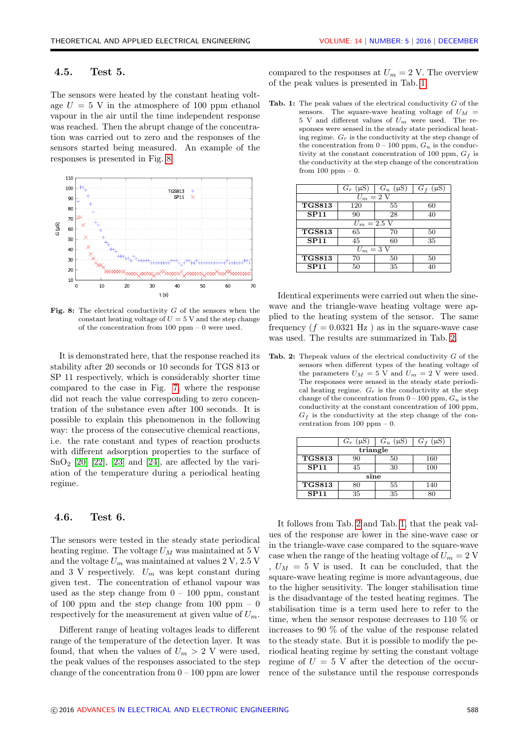#### 4.5. Test 5.

The sensors were heated by the constant heating voltage  $U = 5$  V in the atmosphere of 100 ppm ethanol vapour in the air until the time independent response was reached. Then the abrupt change of the concentration was carried out to zero and the responses of the sensors started being measured. An example of the responses is presented in Fig. [8.](#page-5-0)

<span id="page-5-0"></span>

Fig. 8: The electrical conductivity  $G$  of the sensors when the constant heating voltage of  $U = 5$  V and the step change of the concentration from 100 ppm – 0 were used.

It is demonstrated here, that the response reached its stability after 20 seconds or 10 seconds for TGS 813 or SP 11 respectively, which is considerably shorter time compared to the case in Fig. [7,](#page-4-3) where the response did not reach the value corresponding to zero concentration of the substance even after 100 seconds. It is possible to explain this phenomenon in the following way: the process of the consecutive chemical reactions, i.e. the rate constant and types of reaction products with different adsorption properties to the surface of  $SnO<sub>2</sub>$  [\[20\]](#page-7-8) [\[22\]](#page-7-10), [\[23\]](#page-7-11) and [\[24\]](#page-7-12), are affected by the variation of the temperature during a periodical heating regime.

#### 4.6. Test 6.

The sensors were tested in the steady state periodical heating regime. The voltage  $U_M$  was maintained at 5 V and the voltage  $U_m$  was maintained at values 2 V, 2.5 V and 3 V respectively.  $U_m$  was kept constant during given test. The concentration of ethanol vapour was used as the step change from  $0 - 100$  ppm, constant of 100 ppm and the step change from 100 ppm  $-0$ respectively for the measurement at given value of  $U_m$ .

Different range of heating voltages leads to different range of the temperature of the detection layer. It was found, that when the values of  $U_m > 2$  V were used, the peak values of the responses associated to the step change of the concentration from  $0 - 100$  ppm are lower compared to the responses at  $U_m = 2$  V. The overview of the peak values is presented in Tab. [1.](#page-5-1)

<span id="page-5-1"></span>Tab. 1: The peak values of the electrical conductivity  $G$  of the sensors. The square-wave heating voltage of  $U_M$  =  $5$  V and different values of  $U_m$  were used. The responses were sensed in the steady state periodical heating regime.  $G_r$  is the conductivity at the step change of the concentration from  $0 - 100$  ppm,  $G_u$  is the conductivity at the constant concentration of 100 ppm,  $G_f$  is the conductivity at the step change of the concentration from 100 ppm – 0.

|                                | $G_r$ (µS) | $G_u$ ( $\mu$ S) | $G_f$ (µS) |  |
|--------------------------------|------------|------------------|------------|--|
| $U_m=2$ V                      |            |                  |            |  |
| <b>TGS813</b>                  | 120        | 55               | 60         |  |
| <b>SP11</b>                    | 90         | 28               | 40         |  |
| $U_m = 2.5 \,\overline{\rm V}$ |            |                  |            |  |
| <b>TGS813</b>                  | 65         | 70               | 50         |  |
| <b>SP11</b>                    | 45         | 60               | 35         |  |
| $U_m = 3$ V                    |            |                  |            |  |
| <b>TGS813</b>                  | 70         | 50               | 50         |  |
| SP11                           | 50         | 35               | 40         |  |

Identical experiments were carried out when the sinewave and the triangle-wave heating voltage were applied to the heating system of the sensor. The same frequency  $(f = 0.0321 \text{ Hz})$  as in the square-wave case was used. The results are summarized in Tab. [2.](#page-5-2)

<span id="page-5-2"></span>**Tab. 2:** Theoreak values of the electrical conductivity  $G$  of the sensors when different types of the heating voltage of the parameters  $U_M = 5$  V and  $U_m = 2$  V were used. The responses were sensed in the steady state periodical heating regime.  $G_r$  is the conductivity at the step change of the concentration from  $0-100$  ppm,  $G_u$  is the conductivity at the constant concentration of 100 ppm,  $G_f$  is the conductivity at the step change of the concentration from  $100$  ppm  $-0$ .

|               | $G_r$ (µS) | $G_u$<br>$(\mu S)$ | $G_f$<br>μS |  |
|---------------|------------|--------------------|-------------|--|
| triangle      |            |                    |             |  |
| <b>TGS813</b> | 90         | 50                 | 160         |  |
| <b>SP11</b>   | 45         | 30                 | 100         |  |
| sine          |            |                    |             |  |
| <b>TGS813</b> | 80         | 55                 | 140         |  |
| <b>SP11</b>   | 35         | 35                 |             |  |

It follows from Tab. [2](#page-5-2) and Tab. [1,](#page-5-1) that the peak values of the response are lower in the sine-wave case or in the triangle-wave case compared to the square-wave case when the range of the heating voltage of  $U_m = 2$  V  $U_M = 5$  V is used. It can be concluded, that the square-wave heating regime is more advantageous, due to the higher sensitivity. The longer stabilisation time is the disadvantage of the tested heating regimes. The stabilisation time is a term used here to refer to the time, when the sensor response decreases to 110 % or increases to 90 % of the value of the response related to the steady state. But it is possible to modify the periodical heating regime by setting the constant voltage regime of  $U = 5$  V after the detection of the occurrence of the substance until the response corresponds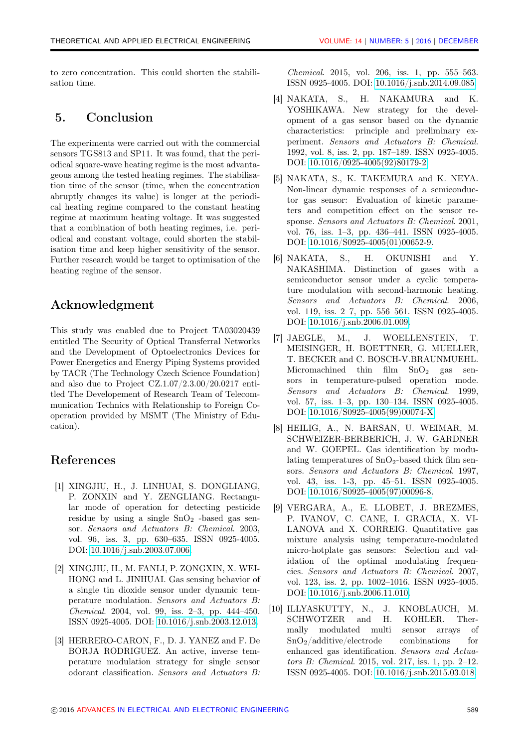to zero concentration. This could shorten the stabilisation time.

## 5. Conclusion

The experiments were carried out with the commercial sensors TGS813 and SP11. It was found, that the periodical square-wave heating regime is the most advantageous among the tested heating regimes. The stabilisation time of the sensor (time, when the concentration abruptly changes its value) is longer at the periodical heating regime compared to the constant heating regime at maximum heating voltage. It was suggested that a combination of both heating regimes, i.e. periodical and constant voltage, could shorten the stabilisation time and keep higher sensitivity of the sensor. Further research would be target to optimisation of the heating regime of the sensor.

# Acknowledgment

This study was enabled due to Project TA03020439 entitled The Security of Optical Transferral Networks and the Development of Optoelectronics Devices for Power Energetics and Energy Piping Systems provided by TACR (The Technology Czech Science Foundation) and also due to Project CZ.1.07/2.3.00/20.0217 entitled The Developement of Research Team of Telecommunication Technics with Relationship to Foreign Cooperation provided by MSMT (The Ministry of Education).

# References

- <span id="page-6-0"></span>[1] XINGJIU, H., J. LINHUAI, S. DONGLIANG, P. ZONXIN and Y. ZENGLIANG. Rectangular mode of operation for detecting pesticide residue by using a single  $SnO<sub>2</sub>$  -based gas sensor. Sensors and Actuators B: Chemical. 2003, vol. 96, iss. 3, pp. 630–635. ISSN 0925-4005. DOI: [10.1016/j.snb.2003.07.006.](http://dx.doi.org/10.1016/j.snb.2003.07.006)
- <span id="page-6-1"></span>[2] XINGJIU, H., M. FANLI, P. ZONGXIN, X. WEI-HONG and L. JINHUAI. Gas sensing behavior of a single tin dioxide sensor under dynamic temperature modulation. Sensors and Actuators B: Chemical. 2004, vol. 99, iss. 2–3, pp. 444–450. ISSN 0925-4005. DOI: [10.1016/j.snb.2003.12.013.](http://dx.doi.org/10.1016/j.snb.2003.12.013)
- <span id="page-6-2"></span>[3] HERRERO-CARON, F., D. J. YANEZ and F. De BORJA RODRIGUEZ. An active, inverse temperature modulation strategy for single sensor odorant classification. Sensors and Actuators B:

Chemical. 2015, vol. 206, iss. 1, pp. 555–563. ISSN 0925-4005. DOI: [10.1016/j.snb.2014.09.085.](http://dx.doi.org/10.1016/j.snb.2014.09.085)

- <span id="page-6-3"></span>[4] NAKATA, S., H. NAKAMURA and K. YOSHIKAWA. New strategy for the development of a gas sensor based on the dynamic characteristics: principle and preliminary experiment. Sensors and Actuators B: Chemical. 1992, vol. 8, iss. 2, pp. 187–189. ISSN 0925-4005. DOI: [10.1016/0925-4005\(92\)80179-2.](http://dx.doi.org/10.1016/0925-4005(92)80179-2)
- <span id="page-6-4"></span>[5] NAKATA, S., K. TAKEMURA and K. NEYA. Non-linear dynamic responses of a semiconductor gas sensor: Evaluation of kinetic parameters and competition effect on the sensor response. Sensors and Actuators B: Chemical. 2001, vol. 76, iss. 1–3, pp. 436–441. ISSN 0925-4005. DOI: [10.1016/S0925-4005\(01\)00652-9.](http://dx.doi.org/10.1016/S0925-4005(01)00652-9)
- <span id="page-6-5"></span>[6] NAKATA, S., H. OKUNISHI and Y. NAKASHIMA. Distinction of gases with a semiconductor sensor under a cyclic temperature modulation with second-harmonic heating. Sensors and Actuators B: Chemical. 2006, vol. 119, iss. 2–7, pp. 556–561. ISSN 0925-4005. DOI: [10.1016/j.snb.2006.01.009.](http://dx.doi.org/10.1016/j.snb.2006.01.009)
- <span id="page-6-6"></span>[7] JAEGLE, M., J. WOELLENSTEIN, T. MEISINGER, H. BOETTNER, G. MUELLER, T. BECKER and C. BOSCH-V.BRAUNMUEHL. Micromachined thin film  $SnO<sub>2</sub>$  gas sensors in temperature-pulsed operation mode. Sensors and Actuators B: Chemical. 1999, vol. 57, iss. 1–3, pp. 130–134. ISSN 0925-4005. DOI: [10.1016/S0925-4005\(99\)00074-X.](http://dx.doi.org/10.1016/S0925-4005(99)00074-X)
- <span id="page-6-7"></span>[8] HEILIG, A., N. BARSAN, U. WEIMAR, M. SCHWEIZER-BERBERICH, J. W. GARDNER and W. GOEPEL. Gas identification by modulating temperatures of  $SnO<sub>2</sub>$ -based thick film sensors. Sensors and Actuators B: Chemical. 1997, vol. 43, iss. 1-3, pp. 45–51. ISSN 0925-4005. DOI: [10.1016/S0925-4005\(97\)00096-8.](http://dx.doi.org/10.1016/S0925-4005(97)00096-8)
- <span id="page-6-8"></span>[9] VERGARA, A., E. LLOBET, J. BREZMES, P. IVANOV, C. CANE, I. GRACIA, X. VI-LANOVA and X. CORREIG. Quantitative gas mixture analysis using temperature-modulated micro-hotplate gas sensors: Selection and validation of the optimal modulating frequencies. Sensors and Actuators B: Chemical. 2007, vol. 123, iss. 2, pp. 1002–1016. ISSN 0925-4005. DOI: [10.1016/j.snb.2006.11.010.](http://dx.doi.org/10.1016/j.snb.2006.11.010)
- <span id="page-6-9"></span>[10] ILLYASKUTTY, N., J. KNOBLAUCH, M. SCHWOTZER and H. KOHLER. Thermally modulated multi sensor arrays of  $SnO<sub>2</sub>/additive/electrode$  combinations for enhanced gas identification. Sensors and Actuators B: Chemical. 2015, vol. 217, iss. 1, pp. 2–12. ISSN 0925-4005. DOI: [10.1016/j.snb.2015.03.018.](http://dx.doi.org/10.1016/j.snb.2015.03.018)